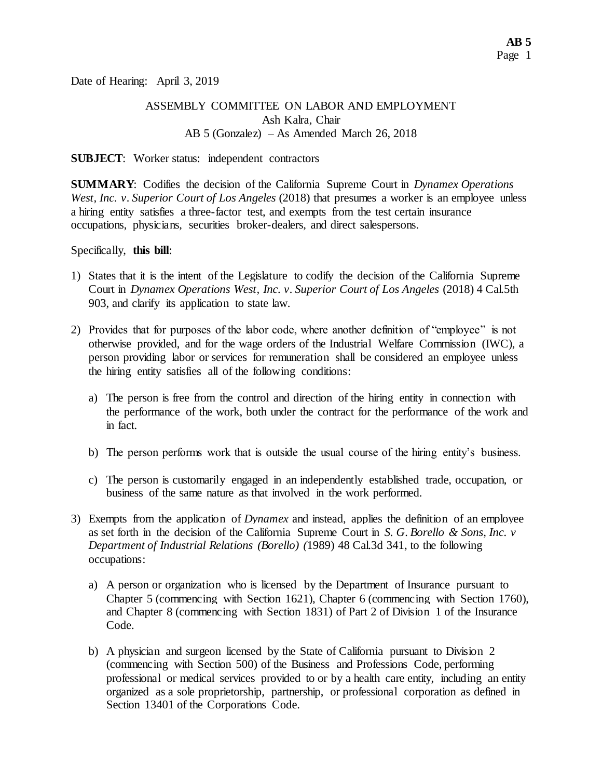Date of Hearing: April 3, 2019

## ASSEMBLY COMMITTEE ON LABOR AND EMPLOYMENT Ash Kalra, Chair AB 5 (Gonzalez) – As Amended March 26, 2018

#### **SUBJECT**: Worker status: independent contractors

**SUMMARY**: Codifies the decision of the California Supreme Court in *Dynamex Operations West, Inc. v. Superior Court of Los Angeles* (2018) that presumes a worker is an employee unless a hiring entity satisfies a three-factor test, and exempts from the test certain insurance occupations, physicians, securities broker-dealers, and direct salespersons.

Specifically, **this bill**:

- 1) States that it is the intent of the Legislature to codify the decision of the California Supreme Court in *Dynamex Operations West, Inc. v. Superior Court of Los Angeles* (2018) 4 Cal.5th 903, and clarify its application to state law.
- 2) Provides that for purposes of the labor code, where another definition of "employee" is not otherwise provided, and for the wage orders of the Industrial Welfare Commission (IWC), a person providing labor or services for remuneration shall be considered an employee unless the hiring entity satisfies all of the following conditions:
	- a) The person is free from the control and direction of the hiring entity in connection with the performance of the work, both under the contract for the performance of the work and in fact.
	- b) The person performs work that is outside the usual course of the hiring entity's business.
	- c) The person is customarily engaged in an independently established trade, occupation, or business of the same nature as that involved in the work performed.
- 3) Exempts from the application of *Dynamex* and instead, applies the definition of an employee as set forth in the decision of the California Supreme Court in *S. G. Borello & Sons, Inc. v Department of Industrial Relations (Borello) (*1989) 48 Cal.3d 341, to the following occupations:
	- a) A person or organization who is licensed by the Department of Insurance pursuant to Chapter 5 (commencing with Section 1621), Chapter 6 (commencing with Section 1760), and Chapter 8 (commencing with Section 1831) of Part 2 of Division 1 of the Insurance Code.
	- b) A physician and surgeon licensed by the State of California pursuant to Division 2 (commencing with Section 500) of the Business and Professions Code, performing professional or medical services provided to or by a health care entity, including an entity organized as a sole proprietorship, partnership, or professional corporation as defined in Section 13401 of the Corporations Code.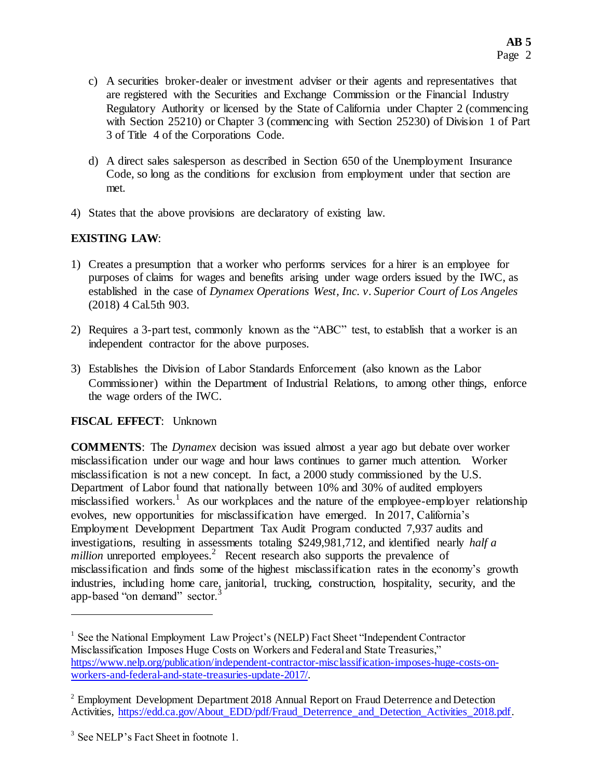- c) A securities broker-dealer or investment adviser or their agents and representatives that are registered with the Securities and Exchange Commission or the Financial Industry Regulatory Authority or licensed by the State of California under Chapter 2 (commencing with Section 25210) or Chapter 3 (commencing with Section 25230) of Division 1 of Part 3 of Title 4 of the Corporations Code.
- d) A direct sales salesperson as described in Section 650 of the Unemployment Insurance Code, so long as the conditions for exclusion from employment under that section are met.
- 4) States that the above provisions are declaratory of existing law.

# **EXISTING LAW**:

- 1) Creates a presumption that a worker who performs services for a hirer is an employee for purposes of claims for wages and benefits arising under wage orders issued by the IWC, as established in the case of *Dynamex Operations West, Inc. v. Superior Court of Los Angeles*  (2018) 4 Cal.5th 903.
- 2) Requires a 3-part test, commonly known as the "ABC" test, to establish that a worker is an independent contractor for the above purposes.
- 3) Establishes the Division of Labor Standards Enforcement (also known as the Labor Commissioner) within the Department of Industrial Relations, to among other things, enforce the wage orders of the IWC.

## **FISCAL EFFECT**: Unknown

**COMMENTS**: The *Dynamex* decision was issued almost a year ago but debate over worker misclassification under our wage and hour laws continues to garner much attention. Worker misclassification is not a new concept. In fact, a 2000 study commissioned by the U.S. Department of Labor found that nationally between 10% and 30% of audited employers misclassified workers.<sup>1</sup> As our workplaces and the nature of the employee-employer relationship evolves, new opportunities for misclassification have emerged. In 2017, California's Employment Development Department Tax Audit Program conducted 7,937 audits and investigations, resulting in assessments totaling \$249,981,712, and identified nearly *half a million* unreported employees.<sup>2</sup> Recent research also supports the prevalence of misclassification and finds some of the highest misclassification rates in the economy's growth industries, including home care, janitorial, trucking, construction, hospitality, security, and the app-based "on demand" sector.<sup>3</sup>

l

<sup>&</sup>lt;sup>1</sup> See the National Employment Law Project's (NELP) Fact Sheet "Independent Contractor Misclassification Imposes Huge Costs on Workers and Federal and State Treasuries," [https://www.nelp.org/publication/independent-contractor-misclassification-imposes-huge-costs-on](https://www.nelp.org/publication/independent-contractor-misclassification-imposes-huge-costs-on-workers-and-federal-and-state-treasuries-update-2017/)[workers-and-federal-and-state-treasuries-update-2017/.](https://www.nelp.org/publication/independent-contractor-misclassification-imposes-huge-costs-on-workers-and-federal-and-state-treasuries-update-2017/)

 $2^{2}$  Employment Development Department 2018 Annual Report on Fraud Deterrence and Detection Activities, [https://edd.ca.gov/About\\_EDD/pdf/Fraud\\_Deterrence\\_and\\_Detection\\_Activities\\_2018.pdf.](https://edd.ca.gov/About_EDD/pdf/Fraud_Deterrence_and_Detection_Activities_2018.pdf)

<sup>&</sup>lt;sup>3</sup> See NELP's Fact Sheet in footnote 1.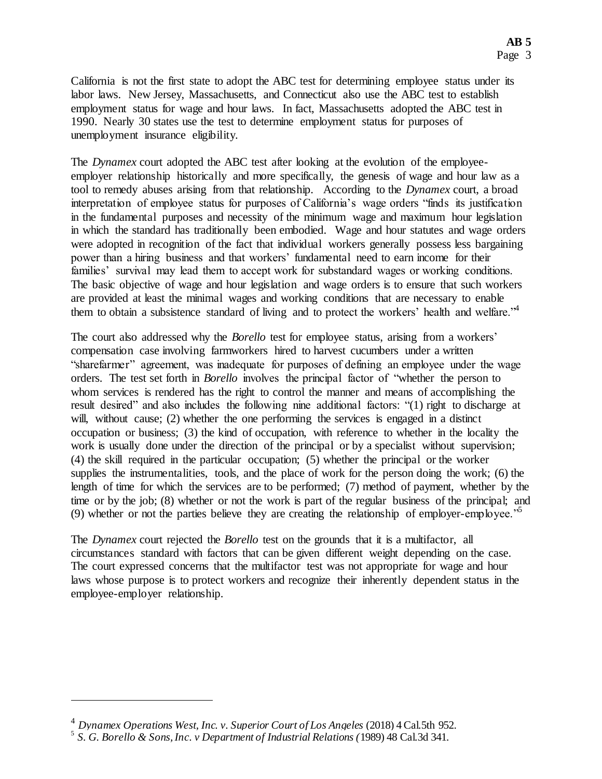California is not the first state to adopt the ABC test for determining employee status under its labor laws. New Jersey, Massachusetts, and Connecticut also use the ABC test to establish employment status for wage and hour laws. In fact, Massachusetts adopted the ABC test in 1990. Nearly 30 states use the test to determine employment status for purposes of unemployment insurance eligibility.

The *Dynamex* court adopted the ABC test after looking at the evolution of the employeeemployer relationship historically and more specifically, the genesis of wage and hour law as a tool to remedy abuses arising from that relationship. According to the *Dynamex* court, a broad interpretation of employee status for purposes of California's wage orders "finds its justification in the fundamental purposes and necessity of the minimum wage and maximum hour legislation in which the standard has traditionally been embodied. Wage and hour statutes and wage orders were adopted in recognition of the fact that individual workers generally possess less bargaining power than a hiring business and that workers' fundamental need to earn income for their families' survival may lead them to accept work for substandard wages or working conditions. The basic objective of wage and hour legislation and wage orders is to ensure that such workers are provided at least the minimal wages and working conditions that are necessary to enable them to obtain a subsistence standard of living and to protect the workers' health and welfare.<sup>44</sup>

The court also addressed why the *Borello* test for employee status, arising from a workers' compensation case involving farmworkers hired to harvest cucumbers under a written "sharefarmer" agreement, was inadequate for purposes of defining an employee under the wage orders. The test set forth in *Borello* involves the principal factor of "whether the person to whom services is rendered has the right to control the manner and means of accomplishing the result desired" and also includes the following nine additional factors: "(1) right to discharge at will, without cause; (2) whether the one performing the services is engaged in a distinct occupation or business; (3) the kind of occupation, with reference to whether in the locality the work is usually done under the direction of the principal or by a specialist without supervision; (4) the skill required in the particular occupation; (5) whether the principal or the worker supplies the instrumentalities, tools, and the place of work for the person doing the work; (6) the length of time for which the services are to be performed; (7) method of payment, whether by the time or by the job; (8) whether or not the work is part of the regular business of the principal; and (9) whether or not the parties believe they are creating the relationship of employer-employee.<sup>"5</sup>

The *Dynamex* court rejected the *Borello* test on the grounds that it is a multifactor, all circumstances standard with factors that can be given different weight depending on the case. The court expressed concerns that the multifactor test was not appropriate for wage and hour laws whose purpose is to protect workers and recognize their inherently dependent status in the employee-employer relationship.

 $\overline{a}$ 

<sup>&</sup>lt;sup>4</sup> Dynamex Operations West, Inc. v. Superior Court of Los Angeles (2018) 4 Cal.5th 952.

<sup>5</sup> *S. G. Borello & Sons, Inc. v Department of Industrial Relations (*1989) 48 Cal.3d 341.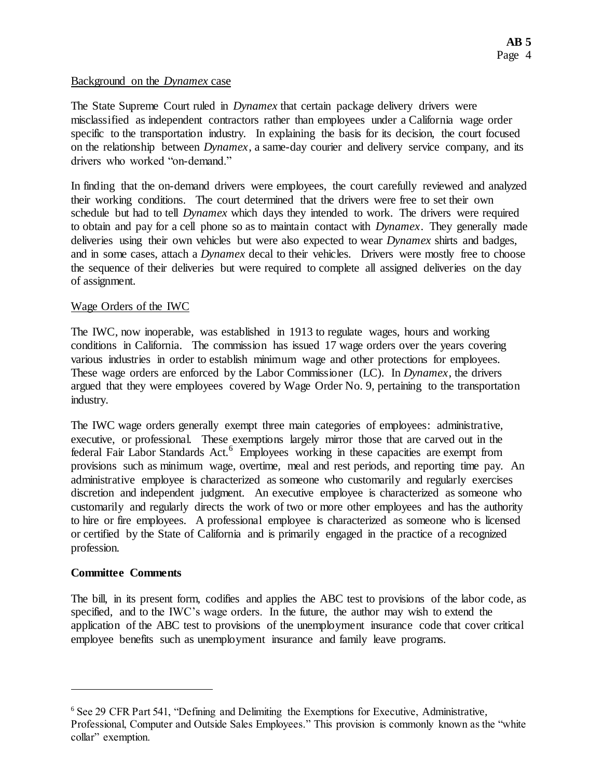#### Background on the *Dynamex* case

The State Supreme Court ruled in *Dynamex* that certain package delivery drivers were misclassified as independent contractors rather than employees under a California wage order specific to the transportation industry. In explaining the basis for its decision, the court focused on the relationship between *Dynamex*, a same-day courier and delivery service company, and its drivers who worked "on-demand."

In finding that the on-demand drivers were employees, the court carefully reviewed and analyzed their working conditions. The court determined that the drivers were free to set their own schedule but had to tell *Dynamex* which days they intended to work. The drivers were required to obtain and pay for a cell phone so as to maintain contact with *Dynamex*. They generally made deliveries using their own vehicles but were also expected to wear *Dynamex* shirts and badges, and in some cases, attach a *Dynamex* decal to their vehicles. Drivers were mostly free to choose the sequence of their deliveries but were required to complete all assigned deliveries on the day of assignment.

#### Wage Orders of the IWC

The IWC, now inoperable, was established in 1913 to regulate wages, hours and working conditions in California. The commission has issued 17 wage orders over the years covering various industries in order to establish minimum wage and other protections for employees. These wage orders are enforced by the Labor Commissioner (LC). In *Dynamex*, the drivers argued that they were employees covered by Wage Order No. 9, pertaining to the transportation industry.

The IWC wage orders generally exempt three main categories of employees: administrative, executive, or professional. These exemptions largely mirror those that are carved out in the federal Fair Labor Standards Act.<sup>6</sup> Employees working in these capacities are exempt from provisions such as minimum wage, overtime, meal and rest periods, and reporting time pay. An administrative employee is characterized as someone who customarily and regularly exercises discretion and independent judgment. An executive employee is characterized as someone who customarily and regularly directs the work of two or more other employees and has the authority to hire or fire employees. A professional employee is characterized as someone who is licensed or certified by the State of California and is primarily engaged in the practice of a recognized profession.

## **Committee Comments**

l

The bill, in its present form, codifies and applies the ABC test to provisions of the labor code, as specified, and to the IWC's wage orders. In the future, the author may wish to extend the application of the ABC test to provisions of the unemployment insurance code that cover critical employee benefits such as unemployment insurance and family leave programs.

<sup>6</sup> See 29 CFR Part 541, "Defining and Delimiting the Exemptions for Executive, Administrative, Professional, Computer and Outside Sales Employees." This provision is commonly known as the "white collar" exemption.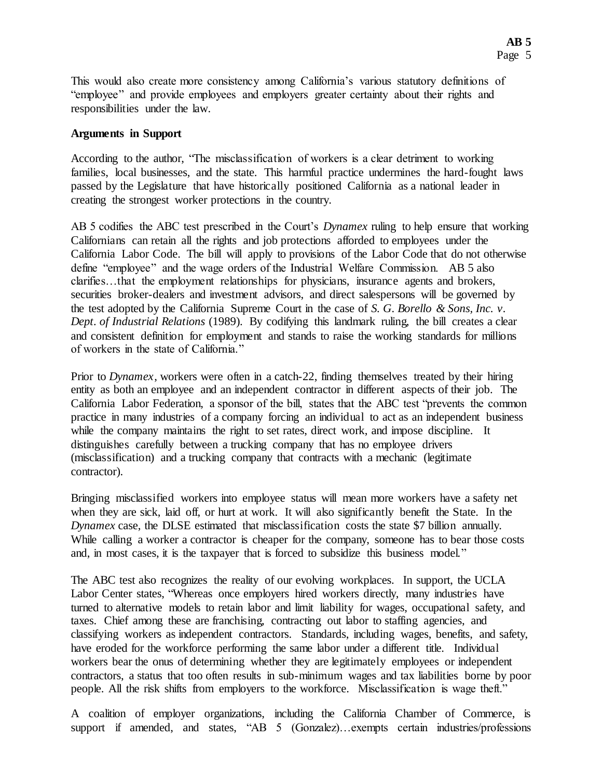This would also create more consistency among California's various statutory definitions of "employee" and provide employees and employers greater certainty about their rights and responsibilities under the law.

#### **Arguments in Support**

According to the author, "The misclassification of workers is a clear detriment to working families, local businesses, and the state. This harmful practice undermines the hard-fought laws passed by the Legislature that have historically positioned California as a national leader in creating the strongest worker protections in the country.

AB 5 codifies the ABC test prescribed in the Court's *Dynamex* ruling to help ensure that working Californians can retain all the rights and job protections afforded to employees under the California Labor Code. The bill will apply to provisions of the Labor Code that do not otherwise define "employee" and the wage orders of the Industrial Welfare Commission. AB 5 also clarifies…that the employment relationships for physicians, insurance agents and brokers, securities broker-dealers and investment advisors, and direct salespersons will be governed by the test adopted by the California Supreme Court in the case of *S. G. Borello & Sons, Inc. v. Dept. of Industrial Relations* (1989). By codifying this landmark ruling, the bill creates a clear and consistent definition for employment and stands to raise the working standards for millions of workers in the state of California."

Prior to *Dynamex*, workers were often in a catch-22, finding themselves treated by their hiring entity as both an employee and an independent contractor in different aspects of their job. The California Labor Federation, a sponsor of the bill, states that the ABC test "prevents the common practice in many industries of a company forcing an individual to act as an independent business while the company maintains the right to set rates, direct work, and impose discipline. It distinguishes carefully between a trucking company that has no employee drivers (misclassification) and a trucking company that contracts with a mechanic (legitimate contractor).

Bringing misclassified workers into employee status will mean more workers have a safety net when they are sick, laid off, or hurt at work. It will also significantly benefit the State. In the *Dynamex* case, the DLSE estimated that misclassification costs the state \$7 billion annually. While calling a worker a contractor is cheaper for the company, someone has to bear those costs and, in most cases, it is the taxpayer that is forced to subsidize this business model."

The ABC test also recognizes the reality of our evolving workplaces. In support, the UCLA Labor Center states, "Whereas once employers hired workers directly, many industries have turned to alternative models to retain labor and limit liability for wages, occupational safety, and taxes. Chief among these are franchising, contracting out labor to staffing agencies, and classifying workers as independent contractors. Standards, including wages, benefits, and safety, have eroded for the workforce performing the same labor under a different title. Individual workers bear the onus of determining whether they are legitimately employees or independent contractors, a status that too often results in sub-minimum wages and tax liabilities borne by poor people. All the risk shifts from employers to the workforce. Misclassification is wage theft."

A coalition of employer organizations, including the California Chamber of Commerce, is support if amended, and states, "AB 5 (Gonzalez)...exempts certain industries/professions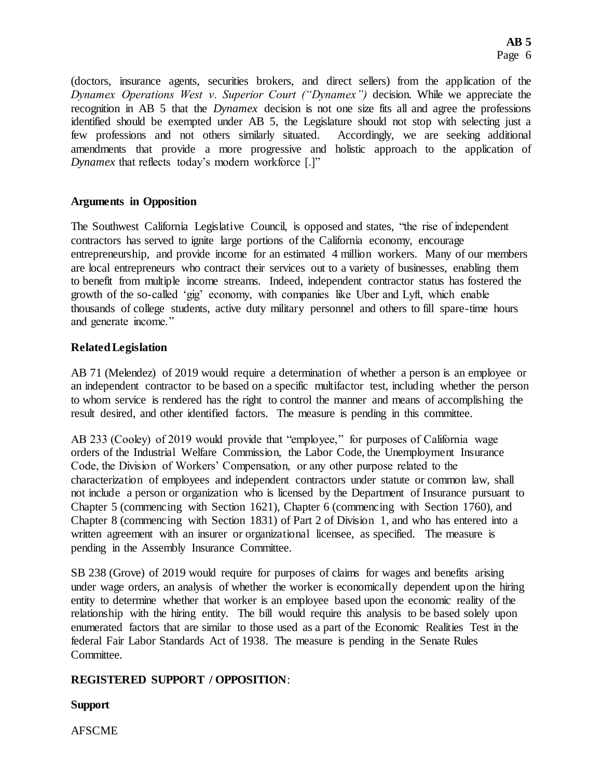(doctors, insurance agents, securities brokers, and direct sellers) from the application of the *Dynamex Operations West v. Superior Court ("Dynamex")* decision. While we appreciate the recognition in AB 5 that the *Dynamex* decision is not one size fits all and agree the professions identified should be exempted under AB 5, the Legislature should not stop with selecting just a few professions and not others similarly situated. Accordingly, we are seeking additional amendments that provide a more progressive and holistic approach to the application of *Dynamex* that reflects today's modern workforce [.]"

## **Arguments in Opposition**

The Southwest California Legislative Council, is opposed and states, "the rise of independent contractors has served to ignite large portions of the California economy, encourage entrepreneurship, and provide income for an estimated 4 million workers. Many of our members are local entrepreneurs who contract their services out to a variety of businesses, enabling them to benefit from multiple income streams. Indeed, independent contractor status has fostered the growth of the so-called 'gig' economy, with companies like Uber and Lyft, which enable thousands of college students, active duty military personnel and others to fill spare-time hours and generate income."

## **Related Legislation**

AB 71 (Melendez) of 2019 would require a determination of whether a person is an employee or an independent contractor to be based on a specific multifactor test, including whether the person to whom service is rendered has the right to control the manner and means of accomplishing the result desired, and other identified factors. The measure is pending in this committee.

AB 233 (Cooley) of 2019 would provide that "employee," for purposes of California wage orders of the Industrial Welfare Commission, the Labor Code, the Unemployment Insurance Code, the Division of Workers' Compensation, or any other purpose related to the characterization of employees and independent contractors under statute or common law, shall not include a person or organization who is licensed by the Department of Insurance pursuant to Chapter 5 (commencing with Section 1621), Chapter 6 (commencing with Section 1760), and Chapter 8 (commencing with Section 1831) of Part 2 of Division 1, and who has entered into a written agreement with an insurer or organizational licensee, as specified. The measure is pending in the Assembly Insurance Committee.

SB 238 (Grove) of 2019 would require for purposes of claims for wages and benefits arising under wage orders, an analysis of whether the worker is economically dependent upon the hiring entity to determine whether that worker is an employee based upon the economic reality of the relationship with the hiring entity. The bill would require this analysis to be based solely upon enumerated factors that are similar to those used as a part of the Economic Realities Test in the federal Fair Labor Standards Act of 1938. The measure is pending in the Senate Rules Committee.

# **REGISTERED SUPPORT / OPPOSITION**:

**Support**

AFSCME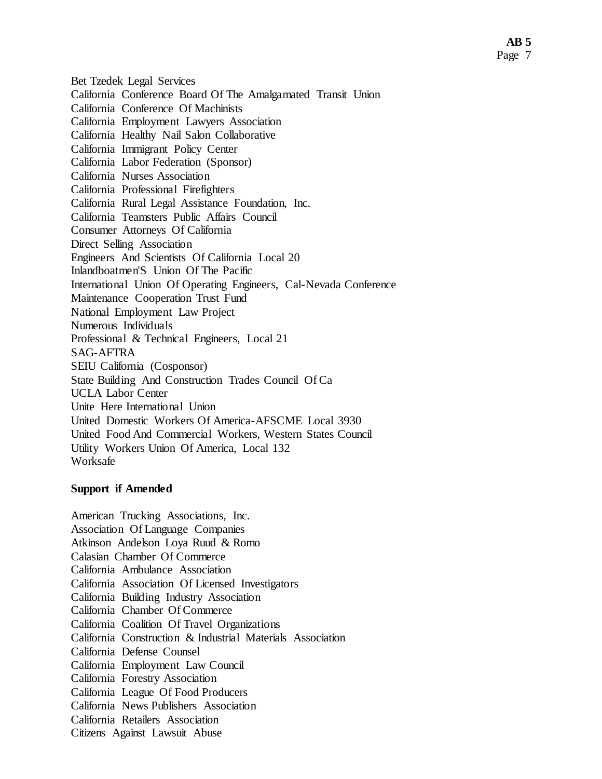Bet Tzedek Legal Services California Conference Board Of The Amalgamated Transit Union California Conference Of Machinists California Employment Lawyers Association California Healthy Nail Salon Collaborative California Immigrant Policy Center California Labor Federation (Sponsor) California Nurses Association California Professional Firefighters California Rural Legal Assistance Foundation, Inc. California Teamsters Public Affairs Council Consumer Attorneys Of California Direct Selling Association Engineers And Scientists Of California Local 20 Inlandboatmen'S Union Of The Pacific International Union Of Operating Engineers, Cal-Nevada Conference Maintenance Cooperation Trust Fund National Employment Law Project Numerous Individuals Professional & Technical Engineers, Local 21 SAG-AFTRA SEIU California (Cosponsor) State Building And Construction Trades Council Of Ca UCLA Labor Center Unite Here International Union United Domestic Workers Of America-AFSCME Local 3930 United Food And Commercial Workers, Western States Council Utility Workers Union Of America, Local 132 Worksafe

#### **Support if Amended**

American Trucking Associations, Inc. Association Of Language Companies Atkinson Andelson Loya Ruud & Romo Calasian Chamber Of Commerce California Ambulance Association California Association Of Licensed Investigators California Building Industry Association California Chamber Of Commerce California Coalition Of Travel Organizations California Construction & Industrial Materials Association California Defense Counsel California Employment Law Council California Forestry Association California League Of Food Producers California News Publishers Association California Retailers Association Citizens Against Lawsuit Abuse